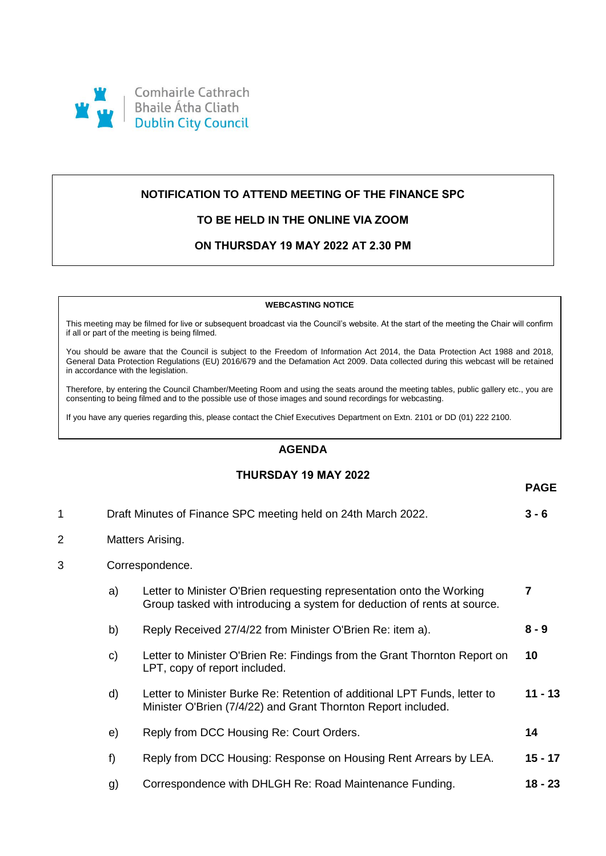

# **NOTIFICATION TO ATTEND MEETING OF THE FINANCE SPC**

## **TO BE HELD IN THE ONLINE VIA ZOOM**

## **ON THURSDAY 19 MAY 2022 AT 2.30 PM**

#### **WEBCASTING NOTICE**

This meeting may be filmed for live or subsequent broadcast via the Council's website. At the start of the meeting the Chair will confirm if all or part of the meeting is being filmed.

You should be aware that the Council is subject to the Freedom of Information Act 2014, the Data Protection Act 1988 and 2018, General Data Protection Regulations (EU) 2016/679 and the Defamation Act 2009. Data collected during this webcast will be retained in accordance with the legislation.

Therefore, by entering the Council Chamber/Meeting Room and using the seats around the meeting tables, public gallery etc., you are consenting to being filmed and to the possible use of those images and sound recordings for webcasting.

If you have any queries regarding this, please contact the Chief Executives Department on Extn. 2101 or DD (01) 222 2100.

### **AGENDA**

## **THURSDAY 19 MAY 2022**

**PAGE**

| 1              |                  | Draft Minutes of Finance SPC meeting held on 24th March 2022.                                                                                     | $3 - 6$   |  |
|----------------|------------------|---------------------------------------------------------------------------------------------------------------------------------------------------|-----------|--|
| $\overline{2}$ | Matters Arising. |                                                                                                                                                   |           |  |
| 3              | Correspondence.  |                                                                                                                                                   |           |  |
|                | a)               | Letter to Minister O'Brien requesting representation onto the Working<br>Group tasked with introducing a system for deduction of rents at source. | 7         |  |
|                | b)               | Reply Received 27/4/22 from Minister O'Brien Re: item a).                                                                                         | $8 - 9$   |  |
|                | C)               | Letter to Minister O'Brien Re: Findings from the Grant Thornton Report on<br>LPT, copy of report included.                                        | 10        |  |
|                | d)               | Letter to Minister Burke Re: Retention of additional LPT Funds, letter to<br>Minister O'Brien (7/4/22) and Grant Thornton Report included.        | $11 - 13$ |  |
|                | e)               | Reply from DCC Housing Re: Court Orders.                                                                                                          | 14        |  |
|                | f)               | Reply from DCC Housing: Response on Housing Rent Arrears by LEA.                                                                                  | $15 - 17$ |  |
|                | g)               | Correspondence with DHLGH Re: Road Maintenance Funding.                                                                                           | 18 - 23   |  |